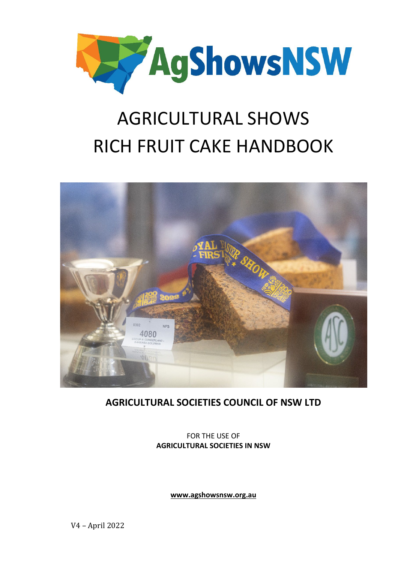

# AGRICULTURAL SHOWS RICH FRUIT CAKE HANDBOOK



### **AGRICULTURAL SOCIETIES COUNCIL OF NSW LTD**

FOR THE USE OF **AGRICULTURAL SOCIETIES IN NSW**

**[www.agshowsnsw.org.au](http://www.agshowsnsw.org.au/)**

V4 – April 2022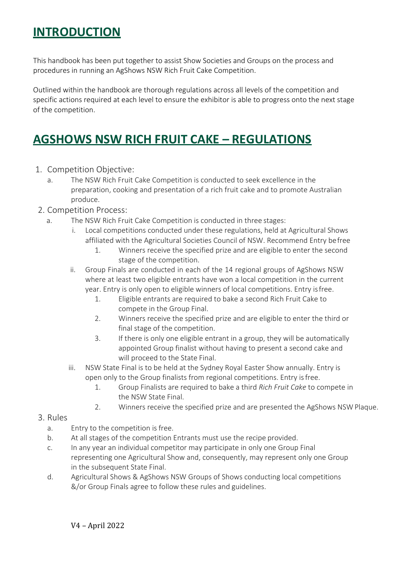### **INTRODUCTION**

This handbook has been put together to assist Show Societies and Groups on the process and procedures in running an AgShows NSW Rich Fruit Cake Competition.

Outlined within the handbook are thorough regulations across all levels of the competition and specific actions required at each level to ensure the exhibitor is able to progress onto the next stage of the competition.

### **AGSHOWS NSW RICH FRUIT CAKE – REGULATIONS**

- 1. Competition Objective:
	- a. The NSW Rich Fruit Cake Competition is conducted to seek excellence in the preparation, cooking and presentation of a rich fruit cake and to promote Australian produce.
- 2. Competition Process:
	- a. The NSW Rich Fruit Cake Competition is conducted in three stages:
		- i. Local competitions conducted under these regulations, held at Agricultural Shows affiliated with the Agricultural Societies Council of NSW. Recommend Entry befree
			- 1. Winners receive the specified prize and are eligible to enter the second stage of the competition.
		- ii. Group Finals are conducted in each of the 14 regional groups of AgShows NSW where at least two eligible entrants have won a local competition in the current year. Entry is only open to eligible winners of local competitions. Entry isfree.
			- 1. Eligible entrants are required to bake a second Rich Fruit Cake to compete in the Group Final.
			- 2. Winners receive the specified prize and are eligible to enter the third or final stage of the competition.
			- 3. If there is only one eligible entrant in a group, they will be automatically appointed Group finalist without having to present a second cake and will proceed to the State Final.
		- iii. NSW State Final is to be held at the Sydney Royal Easter Show annually. Entry is open only to the Group finalists from regional competitions. Entry isfree.
			- 1. Group Finalists are required to bake a third *Rich Fruit Cake* to compete in the NSW State Final.
			- 2. Winners receive the specified prize and are presented the AgShows NSW Plaque.
- 3. Rules
	- a. Entry to the competition is free.
	- b. At all stages of the competition Entrants must use the recipe provided.
	- c. In any year an individual competitor may participate in only one Group Final representing one Agricultural Show and, consequently, may represent only one Group in the subsequent State Final.
	- d. Agricultural Shows & AgShows NSW Groups of Shows conducting local competitions &/or Group Finals agree to follow these rules and guidelines.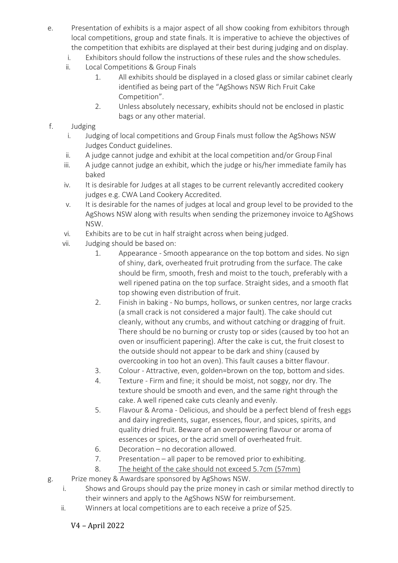- e. Presentation of exhibits is a major aspect of all show cooking from exhibitors through local competitions, group and state finals. It is imperative to achieve the objectives of the competition that exhibits are displayed at their best during judging and on display.
	- i. Exhibitors should follow the instructions of these rules and the show schedules.
	- ii. Local Competitions & Group Finals
		- 1. All exhibits should be displayed in a closed glass or similar cabinet clearly identified as being part of the "AgShows NSW Rich Fruit Cake Competition".
		- 2. Unless absolutely necessary, exhibits should not be enclosed in plastic bags or any other material.

#### f. Judging

- i. Judging of local competitions and Group Finals must follow the AgShows NSW Judges Conduct guidelines.
- ii. A judge cannot judge and exhibit at the local competition and/or Group Final
- iii. A judge cannot judge an exhibit, which the judge or his/her immediate family has baked
- iv. It is desirable for Judges at all stages to be current relevantly accredited cookery judges e.g. CWA Land Cookery Accredited.
- v. It is desirable for the names of judges at local and group level to be provided to the AgShows NSW along with results when sending the prizemoney invoice to AgShows NSW.
- vi. Exhibits are to be cut in half straight across when being judged.
- vii. Judging should be based on:
	- 1. Appearance Smooth appearance on the top bottom and sides. No sign of shiny, dark, overheated fruit protruding from the surface. The cake should be firm, smooth, fresh and moist to the touch, preferably with a well ripened patina on the top surface. Straight sides, and a smooth flat top showing even distribution of fruit.
	- 2. Finish in baking No bumps, hollows, or sunken centres, nor large cracks (a small crack is not considered a major fault). The cake should cut cleanly, without any crumbs, and without catching or dragging of fruit. There should be no burning or crusty top or sides (caused by too hot an oven or insufficient papering). After the cake is cut, the fruit closest to the outside should not appear to be dark and shiny (caused by overcooking in too hot an oven). This fault causes a bitter flavour.
	- 3. Colour Attractive, even, golden=brown on the top, bottom and sides.
	- 4. Texture Firm and fine; it should be moist, not soggy, nor dry. The texture should be smooth and even, and the same right through the cake. A well ripened cake cuts cleanly and evenly.
	- 5. Flavour & Aroma Delicious, and should be a perfect blend of fresh eggs and dairy ingredients, sugar, essences, flour, and spices, spirits, and quality dried fruit. Beware of an overpowering flavour or aroma of essences or spices, or the acrid smell of overheated fruit.
	- 6. Decoration no decoration allowed.
	- 7. Presentation all paper to be removed prior to exhibiting.
	- 8. The height of the cake should not exceed 5.7cm (57mm)
- g. Prize money & Awardsare sponsored by AgShows NSW.
	- i. Shows and Groups should pay the prize money in cash or similar method directly to their winners and apply to the AgShows NSW for reimbursement.
	- ii. Winners at local competitions are to each receive a prize of \$25.

#### V4 – April 2022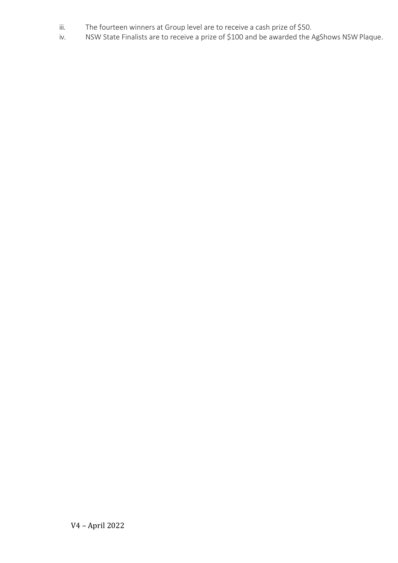- iii. The fourteen winners at Group level are to receive a cash prize of \$50.
- iv. NSW State Finalists are to receive a prize of \$100 and be awarded the AgShows NSW Plaque.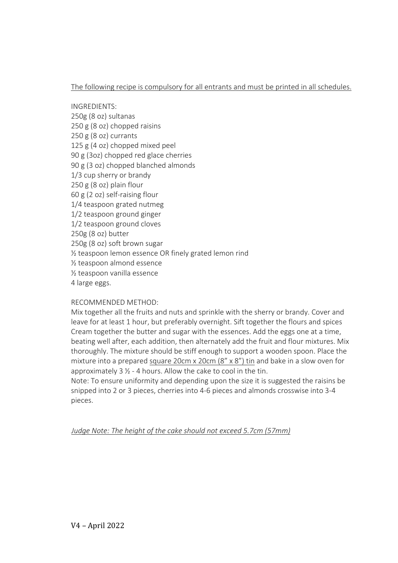#### The following recipe is compulsory for all entrants and must be printed in all schedules.

INGREDIENTS: 250g (8 oz) sultanas 250 g (8 oz) chopped raisins 250 g (8 oz) currants 125 g (4 oz) chopped mixed peel 90 g (3oz) chopped red glace cherries 90 g (3 oz) chopped blanched almonds 1/3 cup sherry or brandy 250 g (8 oz) plain flour 60 g (2 oz) self-raising flour 1/4 teaspoon grated nutmeg 1/2 teaspoon ground ginger 1/2 teaspoon ground cloves 250g (8 oz) butter 250g (8 oz) soft brown sugar ½ teaspoon lemon essence OR finely grated lemon rind ½ teaspoon almond essence ½ teaspoon vanilla essence 4 large eggs.

#### RECOMMENDED METHOD:

Mix together all the fruits and nuts and sprinkle with the sherry or brandy. Cover and leave for at least 1 hour, but preferably overnight. Sift together the flours and spices Cream together the butter and sugar with the essences. Add the eggs one at a time, beating well after, each addition, then alternately add the fruit and flour mixtures. Mix thoroughly. The mixture should be stiff enough to support a wooden spoon. Place the mixture into a prepared square 20cm x 20cm (8" x 8") tin and bake in a slow oven for approximately  $3 \frac{1}{2}$  - 4 hours. Allow the cake to cool in the tin.

Note: To ensure uniformity and depending upon the size it is suggested the raisins be snipped into 2 or 3 pieces, cherries into 4-6 pieces and almonds crosswise into 3-4 pieces.

*Judge Note: The height of the cake should not exceed 5.7cm (57mm)*